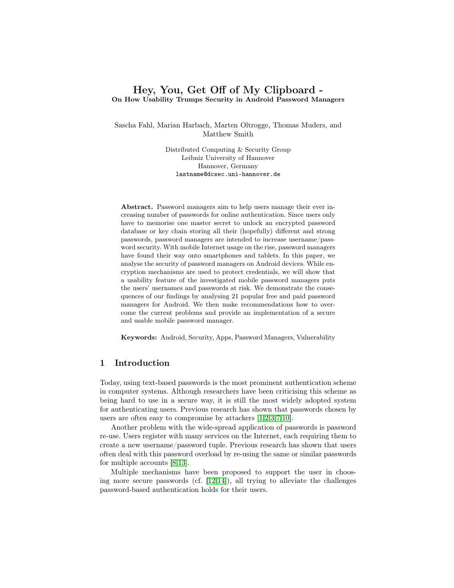## <span id="page-0-0"></span>Hey, You, Get Off of My Clipboard - On How Usability Trumps Security in Android Password Managers

Sascha Fahl, Marian Harbach, Marten Oltrogge, Thomas Muders, and Matthew Smith

> Distributed Computing & Security Group Leibniz University of Hannover Hannover, Germany lastname@dcsec.uni-hannover.de

Abstract. Password managers aim to help users manage their ever increasing number of passwords for online authentication. Since users only have to memorise one master secret to unlock an encrypted password database or key chain storing all their (hopefully) different and strong passwords, password managers are intended to increase username/password security. With mobile Internet usage on the rise, password managers have found their way onto smartphones and tablets. In this paper, we analyse the security of password managers on Android devices. While encryption mechanisms are used to protect credentials, we will show that a usability feature of the investigated mobile password managers puts the users' usernames and passwords at risk. We demonstrate the consequences of our findings by analysing 21 popular free and paid password managers for Android. We then make recommendations how to overcome the current problems and provide an implementation of a secure and usable mobile password manager.

Keywords: Android, Security, Apps, Password Managers, Vulnerability

# 1 Introduction

Today, using text-based passwords is the most prominent authentication scheme in computer systems. Although researchers have been criticising this scheme as being hard to use in a secure way, it is still the most widely adopted system for authenticating users. Previous research has shown that passwords chosen by users are often easy to compromise by attackers [\[1,](#page-15-0)[2,](#page-15-1)[3,](#page-15-2)[7,](#page-15-3)[10\]](#page-15-4).

Another problem with the wide-spread application of passwords is password re-use. Users register with many services on the Internet, each requiring them to create a new username/password tuple. Previous research has shown that users often deal with this password overload by re-using the same or similar passwords for multiple accounts [\[8](#page-15-5)[,13\]](#page-15-6).

Multiple mechanisms have been proposed to support the user in choosing more secure passwords (cf. [\[12,](#page-15-7)[14\]](#page-15-8)), all trying to alleviate the challenges password-based authentication holds for their users.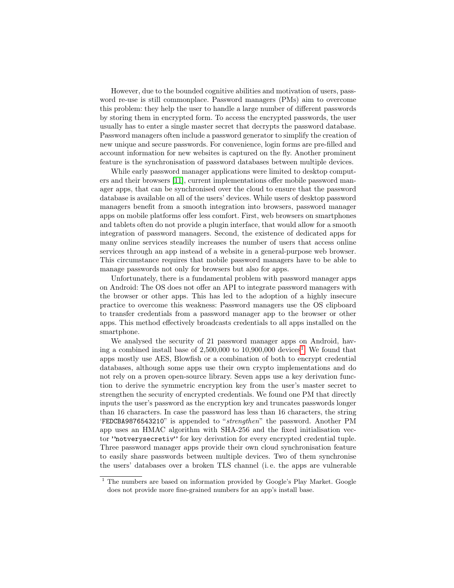However, due to the bounded cognitive abilities and motivation of users, password re-use is still commonplace. Password managers (PMs) aim to overcome this problem: they help the user to handle a large number of different passwords by storing them in encrypted form. To access the encrypted passwords, the user usually has to enter a single master secret that decrypts the password database. Password managers often include a password generator to simplify the creation of new unique and secure passwords. For convenience, login forms are pre-filled and account information for new websites is captured on the fly. Another prominent feature is the synchronisation of password databases between multiple devices.

While early password manager applications were limited to desktop computers and their browsers [\[11\]](#page-15-9), current implementations offer mobile password manager apps, that can be synchronised over the cloud to ensure that the password database is available on all of the users' devices. While users of desktop password managers benefit from a smooth integration into browsers, password manager apps on mobile platforms offer less comfort. First, web browsers on smartphones and tablets often do not provide a plugin interface, that would allow for a smooth integration of password managers. Second, the existence of dedicated apps for many online services steadily increases the number of users that access online services through an app instead of a website in a general-purpose web browser. This circumstance requires that mobile password managers have to be able to manage passwords not only for browsers but also for apps.

Unfortunately, there is a fundamental problem with password manager apps on Android: The OS does not offer an API to integrate password managers with the browser or other apps. This has led to the adoption of a highly insecure practice to overcome this weakness: Password managers use the OS clipboard to transfer credentials from a password manager app to the browser or other apps. This method effectively broadcasts credentials to all apps installed on the smartphone.

We analysed the security of 21 password manager apps on Android, having a combined install base of  $2,500,000$  to  $10,900,000$  $10,900,000$  devices<sup>1</sup>. We found that apps mostly use AES, Blowfish or a combination of both to encrypt credential databases, although some apps use their own crypto implementations and do not rely on a proven open-source library. Seven apps use a key derivation function to derive the symmetric encryption key from the user's master secret to strengthen the security of encrypted credentials. We found one PM that directly inputs the user's password as the encryption key and truncates passwords longer than 16 characters. In case the password has less than 16 characters, the string 'FEDCBA9876543210" is appended to "strengthen" the password. Another PM app uses an HMAC algorithm with SHA-256 and the fixed initialisation vector "notverysecretiv" for key derivation for every encrypted credential tuple. Three password manager apps provide their own cloud synchronisation feature to easily share passwords between multiple devices. Two of them synchronise the users' databases over a broken TLS channel (i. e. the apps are vulnerable

<sup>&</sup>lt;sup>1</sup> The numbers are based on information provided by Google's Play Market. Google does not provide more fine-grained numbers for an app's install base.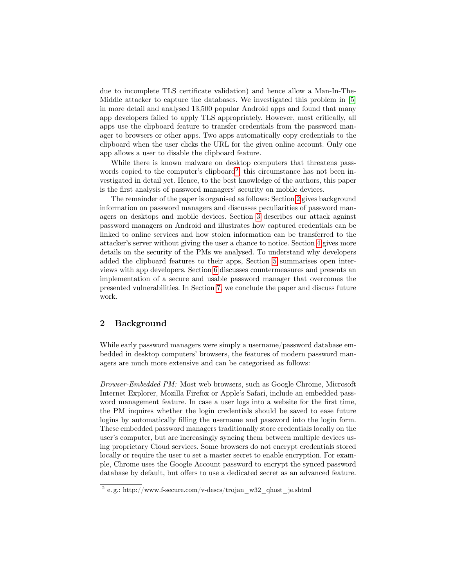due to incomplete TLS certificate validation) and hence allow a Man-In-The-Middle attacker to capture the databases. We investigated this problem in [\[5\]](#page-15-10) in more detail and analysed 13,500 popular Android apps and found that many app developers failed to apply TLS appropriately. However, most critically, all apps use the clipboard feature to transfer credentials from the password manager to browsers or other apps. Two apps automatically copy credentials to the clipboard when the user clicks the URL for the given online account. Only one app allows a user to disable the clipboard feature.

While there is known malware on desktop computers that threatens pass-words copied to the computer's clipboard<sup>[2](#page-0-0)</sup>, this circumstance has not been investigated in detail yet. Hence, to the best knowledge of the authors, this paper is the first analysis of password managers' security on mobile devices.

The remainder of the paper is organised as follows: Section [2](#page-2-0) gives background information on password managers and discusses peculiarities of password managers on desktops and mobile devices. Section [3](#page-4-0) describes our attack against password managers on Android and illustrates how captured credentials can be linked to online services and how stolen information can be transferred to the attacker's server without giving the user a chance to notice. Section [4](#page-7-0) gives more details on the security of the PMs we analysed. To understand why developers added the clipboard features to their apps, Section [5](#page-9-0) summarises open interviews with app developers. Section [6](#page-11-0) discusses countermeasures and presents an implementation of a secure and usable password manager that overcomes the presented vulnerabilities. In Section [7,](#page-14-0) we conclude the paper and discuss future work.

# <span id="page-2-0"></span>2 Background

While early password managers were simply a username/password database embedded in desktop computers' browsers, the features of modern password managers are much more extensive and can be categorised as follows:

Browser-Embedded PM: Most web browsers, such as Google Chrome, Microsoft Internet Explorer, Mozilla Firefox or Apple's Safari, include an embedded password management feature. In case a user logs into a website for the first time, the PM inquires whether the login credentials should be saved to ease future logins by automatically filling the username and password into the login form. These embedded password managers traditionally store credentials locally on the user's computer, but are increasingly syncing them between multiple devices using proprietary Cloud services. Some browsers do not encrypt credentials stored locally or require the user to set a master secret to enable encryption. For example, Chrome uses the Google Account password to encrypt the synced password database by default, but offers to use a dedicated secret as an advanced feature.

<sup>&</sup>lt;sup>2</sup> e.g.: http://www.f-secure.com/v-descs/trojan\_w32\_qhost\_je.shtml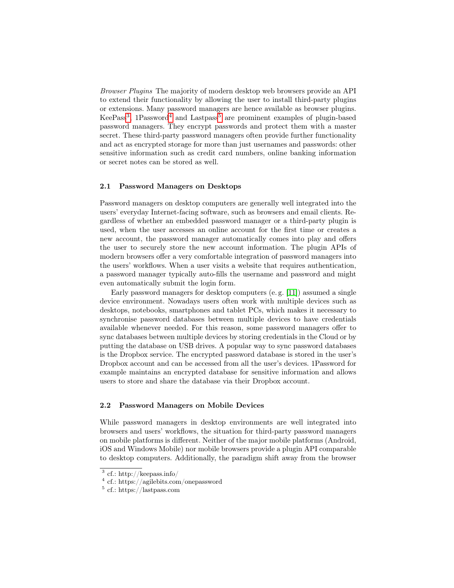Browser Plugins The majority of modern desktop web browsers provide an API to extend their functionality by allowing the user to install third-party plugins or extensions. Many password managers are hence available as browser plugins.  $KeePass<sup>3</sup>$  $KeePass<sup>3</sup>$  $KeePass<sup>3</sup>$ , 1Password<sup>[4](#page-0-0)</sup> and Lastpass<sup>[5](#page-0-0)</sup> are prominent examples of plugin-based password managers. They encrypt passwords and protect them with a master secret. These third-party password managers often provide further functionality and act as encrypted storage for more than just usernames and passwords: other sensitive information such as credit card numbers, online banking information or secret notes can be stored as well.

#### 2.1 Password Managers on Desktops

Password managers on desktop computers are generally well integrated into the users' everyday Internet-facing software, such as browsers and email clients. Regardless of whether an embedded password manager or a third-party plugin is used, when the user accesses an online account for the first time or creates a new account, the password manager automatically comes into play and offers the user to securely store the new account information. The plugin APIs of modern browsers offer a very comfortable integration of password managers into the users' workflows. When a user visits a website that requires authentication, a password manager typically auto-fills the username and password and might even automatically submit the login form.

Early password managers for desktop computers (e. g. [\[11\]](#page-15-9)) assumed a single device environment. Nowadays users often work with multiple devices such as desktops, notebooks, smartphones and tablet PCs, which makes it necessary to synchronise password databases between multiple devices to have credentials available whenever needed. For this reason, some password managers offer to sync databases between multiple devices by storing credentials in the Cloud or by putting the database on USB drives. A popular way to sync password databases is the Dropbox service. The encrypted password database is stored in the user's Dropbox account and can be accessed from all the user's devices. 1Password for example maintains an encrypted database for sensitive information and allows users to store and share the database via their Dropbox account.

#### <span id="page-3-0"></span>2.2 Password Managers on Mobile Devices

While password managers in desktop environments are well integrated into browsers and users' workflows, the situation for third-party password managers on mobile platforms is different. Neither of the major mobile platforms (Android, iOS and Windows Mobile) nor mobile browsers provide a plugin API comparable to desktop computers. Additionally, the paradigm shift away from the browser

<sup>3</sup> cf.: http://keepass.info/

<sup>4</sup> cf.: https://agilebits.com/onepassword

<sup>5</sup> cf.: https://lastpass.com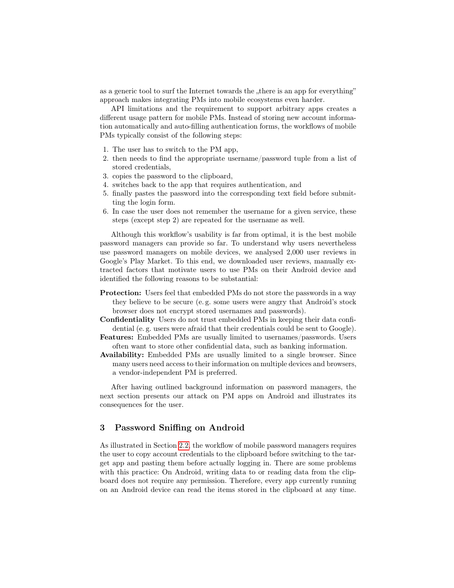as a generic tool to surf the Internet towards the "there is an app for everything" approach makes integrating PMs into mobile ecosystems even harder.

API limitations and the requirement to support arbitrary apps creates a different usage pattern for mobile PMs. Instead of storing new account information automatically and auto-filling authentication forms, the workflows of mobile PMs typically consist of the following steps:

- 1. The user has to switch to the PM app,
- 2. then needs to find the appropriate username/password tuple from a list of stored credentials,
- 3. copies the password to the clipboard,
- 4. switches back to the app that requires authentication, and
- 5. finally pastes the password into the corresponding text field before submitting the login form.
- 6. In case the user does not remember the username for a given service, these steps (except step 2) are repeated for the username as well.

Although this workflow's usability is far from optimal, it is the best mobile password managers can provide so far. To understand why users nevertheless use password managers on mobile devices, we analysed 2,000 user reviews in Google's Play Market. To this end, we downloaded user reviews, manually extracted factors that motivate users to use PMs on their Android device and identified the following reasons to be substantial:

- Protection: Users feel that embedded PMs do not store the passwords in a way they believe to be secure (e. g. some users were angry that Android's stock browser does not encrypt stored usernames and passwords).
- Confidentiality Users do not trust embedded PMs in keeping their data confidential (e. g. users were afraid that their credentials could be sent to Google).
- Features: Embedded PMs are usually limited to usernames/passwords. Users often want to store other confidential data, such as banking information.
- Availability: Embedded PMs are usually limited to a single browser. Since many users need access to their information on multiple devices and browsers, a vendor-independent PM is preferred.

After having outlined background information on password managers, the next section presents our attack on PM apps on Android and illustrates its consequences for the user.

## <span id="page-4-0"></span>3 Password Sniffing on Android

As illustrated in Section [2.2,](#page-3-0) the workflow of mobile password managers requires the user to copy account credentials to the clipboard before switching to the target app and pasting them before actually logging in. There are some problems with this practice: On Android, writing data to or reading data from the clipboard does not require any permission. Therefore, every app currently running on an Android device can read the items stored in the clipboard at any time.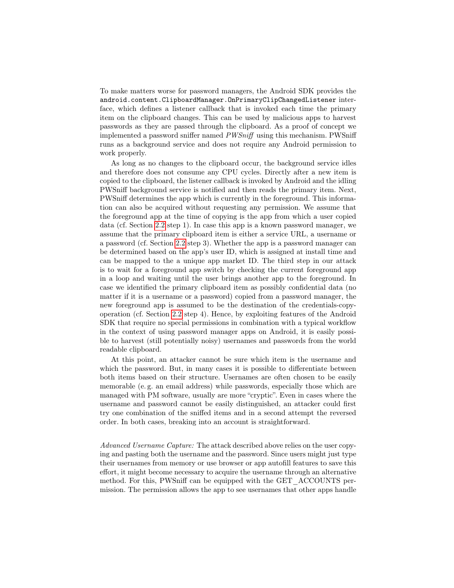To make matters worse for password managers, the Android SDK provides the android.content.ClipboardManager.OnPrimaryClipChangedListener interface, which defines a listener callback that is invoked each time the primary item on the clipboard changes. This can be used by malicious apps to harvest passwords as they are passed through the clipboard. As a proof of concept we implemented a password sniffer named PWSniff using this mechanism. PWSniff runs as a background service and does not require any Android permission to work properly.

As long as no changes to the clipboard occur, the background service idles and therefore does not consume any CPU cycles. Directly after a new item is copied to the clipboard, the listener callback is invoked by Android and the idling PWSniff background service is notified and then reads the primary item. Next, PWSniff determines the app which is currently in the foreground. This information can also be acquired without requesting any permission. We assume that the foreground app at the time of copying is the app from which a user copied data (cf. Section [2.2](#page-3-0) step 1). In case this app is a known password manager, we assume that the primary clipboard item is either a service URL, a username or a password (cf. Section [2.2](#page-3-0) step 3). Whether the app is a password manager can be determined based on the app's user ID, which is assigned at install time and can be mapped to the a unique app market ID. The third step in our attack is to wait for a foreground app switch by checking the current foreground app in a loop and waiting until the user brings another app to the foreground. In case we identified the primary clipboard item as possibly confidential data (no matter if it is a username or a password) copied from a password manager, the new foreground app is assumed to be the destination of the credentials-copyoperation (cf. Section [2.2](#page-3-0) step 4). Hence, by exploiting features of the Android SDK that require no special permissions in combination with a typical workflow in the context of using password manager apps on Android, it is easily possible to harvest (still potentially noisy) usernames and passwords from the world readable clipboard.

At this point, an attacker cannot be sure which item is the username and which the password. But, in many cases it is possible to differentiate between both items based on their structure. Usernames are often chosen to be easily memorable (e. g. an email address) while passwords, especially those which are managed with PM software, usually are more "cryptic". Even in cases where the username and password cannot be easily distinguished, an attacker could first try one combination of the sniffed items and in a second attempt the reversed order. In both cases, breaking into an account is straightforward.

Advanced Username Capture: The attack described above relies on the user copying and pasting both the username and the password. Since users might just type their usernames from memory or use browser or app autofill features to save this effort, it might become necessary to acquire the username through an alternative method. For this, PWSniff can be equipped with the GET\_ACCOUNTS permission. The permission allows the app to see usernames that other apps handle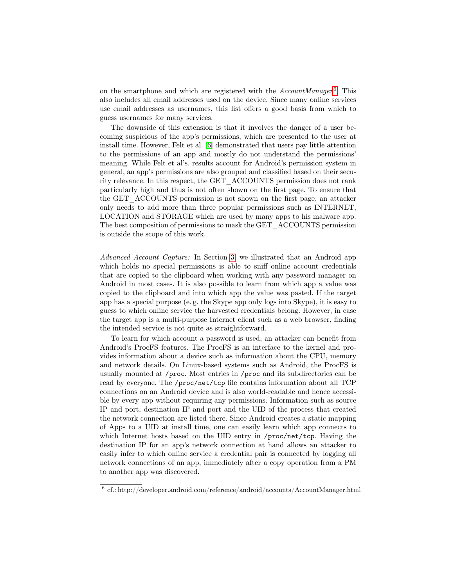on the smartphone and which are registered with the AccountManager<sup>[6](#page-0-0)</sup>. This also includes all email addresses used on the device. Since many online services use email addresses as usernames, this list offers a good basis from which to guess usernames for many services.

The downside of this extension is that it involves the danger of a user becoming suspicious of the app's permissions, which are presented to the user at install time. However, Felt et al. [\[6\]](#page-15-11) demonstrated that users pay little attention to the permissions of an app and mostly do not understand the permissions' meaning. While Felt et al's. results account for Android's permission system in general, an app's permissions are also grouped and classified based on their security relevance. In this respect, the GET\_ACCOUNTS permission does not rank particularly high and thus is not often shown on the first page. To ensure that the GET\_ACCOUNTS permission is not shown on the first page, an attacker only needs to add more than three popular permissions such as INTERNET, LOCATION and STORAGE which are used by many apps to his malware app. The best composition of permissions to mask the GET\_ACCOUNTS permission is outside the scope of this work.

Advanced Account Capture: In Section [3,](#page-4-0) we illustrated that an Android app which holds no special permissions is able to sniff online account credentials that are copied to the clipboard when working with any password manager on Android in most cases. It is also possible to learn from which app a value was copied to the clipboard and into which app the value was pasted. If the target app has a special purpose (e. g. the Skype app only logs into Skype), it is easy to guess to which online service the harvested credentials belong. However, in case the target app is a multi-purpose Internet client such as a web browser, finding the intended service is not quite as straightforward.

To learn for which account a password is used, an attacker can benefit from Android's ProcFS features. The ProcFS is an interface to the kernel and provides information about a device such as information about the CPU, memory and network details. On Linux-based systems such as Android, the ProcFS is usually mounted at /proc. Most entries in /proc and its subdirectories can be read by everyone. The /proc/net/tcp file contains information about all TCP connections on an Android device and is also world-readable and hence accessible by every app without requiring any permissions. Information such as source IP and port, destination IP and port and the UID of the process that created the network connection are listed there. Since Android creates a static mapping of Apps to a UID at install time, one can easily learn which app connects to which Internet hosts based on the UID entry in /proc/net/tcp. Having the destination IP for an app's network connection at hand allows an attacker to easily infer to which online service a credential pair is connected by logging all network connections of an app, immediately after a copy operation from a PM to another app was discovered.

<sup>6</sup> cf.: http://developer.android.com/reference/android/accounts/AccountManager.html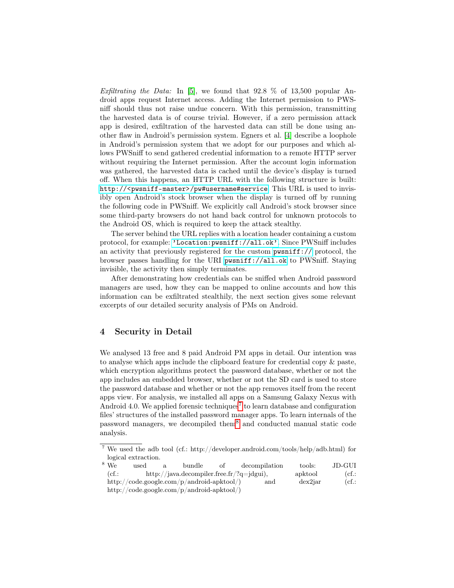Exfiltrating the Data: In [\[5\]](#page-15-10), we found that  $92.8\%$  of 13,500 popular Android apps request Internet access. Adding the Internet permission to PWSniff should thus not raise undue concern. With this permission, transmitting the harvested data is of course trivial. However, if a zero permission attack app is desired, exfiltration of the harvested data can still be done using another flaw in Android's permission system. Egners et al. [\[4\]](#page-15-12) describe a loophole in Android's permission system that we adopt for our purposes and which allows PWSniff to send gathered credential information to a remote HTTP server without requiring the Internet permission. After the account login information was gathered, the harvested data is cached until the device's display is turned off. When this happens, an HTTP URL with the following structure is built: <http://<pwsniff-master>/pw#username#service>. This URL is used to invisibly open Android's stock browser when the display is turned off by running the following code in PWSniff. We explicitly call Android's stock browser since some third-party browsers do not hand back control for unknown protocols to the Android OS, which is required to keep the attack stealthy.

The server behind the URL replies with a location header containing a custom protocol, for example: 'Location:pwsniff://all.ok'. Since PWSniff includes an activity that previously registered for the custom <pwsniff://> protocol, the browser passes handling for the URI <pwsniff://all.ok> to PWSniff. Staying invisible, the activity then simply terminates.

After demonstrating how credentials can be sniffed when Android password managers are used, how they can be mapped to online accounts and how this information can be exfiltrated stealthily, the next section gives some relevant excerpts of our detailed security analysis of PMs on Android.

## <span id="page-7-0"></span>4 Security in Detail

We analysed 13 free and 8 paid Android PM apps in detail. Our intention was to analyse which apps include the clipboard feature for credential copy & paste, which encryption algorithms protect the password database, whether or not the app includes an embedded browser, whether or not the SD card is used to store the password database and whether or not the app removes itself from the recent apps view. For analysis, we installed all apps on a Samsung Galaxy Nexus with Android 4.0. We applied forensic techniques<sup>[7](#page-0-0)</sup> to learn database and configuration files' structures of the installed password manager apps. To learn internals of the password managers, we decompiled them[8](#page-0-0) and conducted manual static code analysis.

 $^7$  We used the adb tool (cf.: http://developer.android.com/tools/help/adb.html) for logical extraction.

| $8\,$ We | used | a. | bundle                                     | оf | decompilation | tools:        | JD-GUI |
|----------|------|----|--------------------------------------------|----|---------------|---------------|--------|
| (cf.:    |      |    | http://java.decompiler.free.fr/?q=jdgui),  |    |               | apktool       | (cf.): |
|          |      |    | http://code.google.com/p/android-apktool/) |    | and           | $dex$ 2 $iar$ | (cf.): |
|          |      |    | http://code.google.com/p/android-apktool/) |    |               |               |        |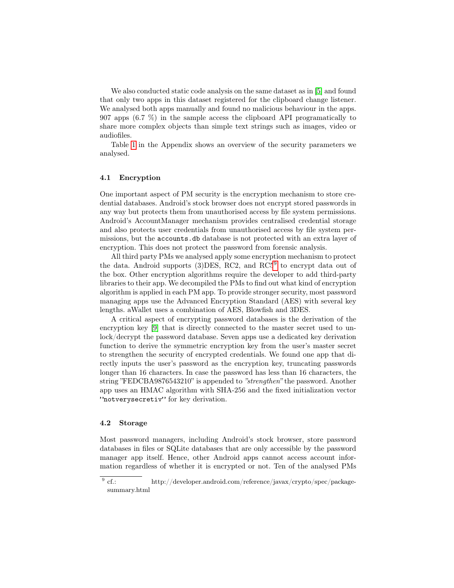We also conducted static code analysis on the same dataset as in [\[5\]](#page-15-10) and found that only two apps in this dataset registered for the clipboard change listener. We analysed both apps manually and found no malicious behaviour in the apps. 907 apps (6.7 %) in the sample access the clipboard API programatically to share more complex objects than simple text strings such as images, video or audiofiles.

Table [1](#page-16-0) in the Appendix shows an overview of the security parameters we analysed.

#### 4.1 Encryption

One important aspect of PM security is the encryption mechanism to store credential databases. Android's stock browser does not encrypt stored passwords in any way but protects them from unauthorised access by file system permissions. Android's AccountManager mechanism provides centralised credential storage and also protects user credentials from unauthorised access by file system permissions, but the accounts.db database is not protected with an extra layer of encryption. This does not protect the password from forensic analysis.

All third party PMs we analysed apply some encryption mechanism to protect the data. Android supports (3)DES, RC2, and RC5<sup>[9](#page-0-0)</sup> to encrypt data out of the box. Other encryption algorithms require the developer to add third-party libraries to their app. We decompiled the PMs to find out what kind of encryption algorithm is applied in each PM app. To provide stronger security, most password managing apps use the Advanced Encryption Standard (AES) with several key lengths. aWallet uses a combination of AES, Blowfish and 3DES.

A critical aspect of encrypting password databases is the derivation of the encryption key [\[9\]](#page-15-13) that is directly connected to the master secret used to unlock/decrypt the password database. Seven apps use a dedicated key derivation function to derive the symmetric encryption key from the user's master secret to strengthen the security of encrypted credentials. We found one app that directly inputs the user's password as the encryption key, truncating passwords longer than 16 characters. In case the password has less than 16 characters, the string "FEDCBA9876543210" is appended to "strengthen" the password. Another app uses an HMAC algorithm with SHA-256 and the fixed initialization vector "notverysecretiv" for key derivation.

#### 4.2 Storage

Most password managers, including Android's stock browser, store password databases in files or SQLite databases that are only accessible by the password manager app itself. Hence, other Android apps cannot access account information regardless of whether it is encrypted or not. Ten of the analysed PMs

 $\overline{9}$  cf.: http://developer.android.com/reference/javax/crypto/spec/packagesummary.html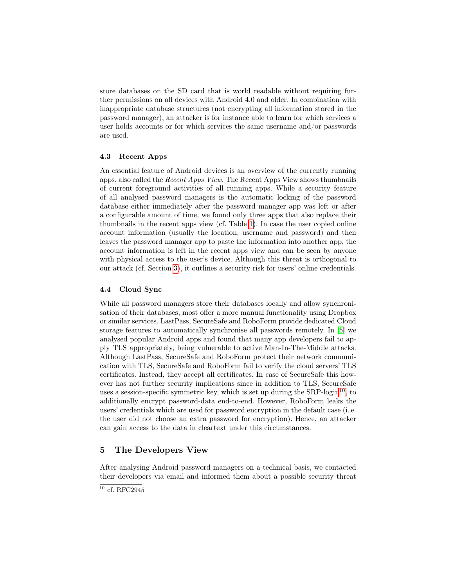store databases on the SD card that is world readable without requiring further permissions on all devices with Android 4.0 and older. In combination with inappropriate database structures (not encrypting all information stored in the password manager), an attacker is for instance able to learn for which services a user holds accounts or for which services the same username and/or passwords are used.

#### 4.3 Recent Apps

An essential feature of Android devices is an overview of the currently running apps, also called the Recent Apps View. The Recent Apps View shows thumbnails of current foreground activities of all running apps. While a security feature of all analysed password managers is the automatic locking of the password database either immediately after the password manager app was left or after a configurable amount of time, we found only three apps that also replace their thumbnails in the recent apps view (cf. Table [1\)](#page-16-0). In case the user copied online account information (usually the location, username and password) and then leaves the password manager app to paste the information into another app, the account information is left in the recent apps view and can be seen by anyone with physical access to the user's device. Although this threat is orthogonal to our attack (cf. Section [3\)](#page-4-0), it outlines a security risk for users' online credentials.

#### 4.4 Cloud Sync

While all password managers store their databases locally and allow synchronisation of their databases, most offer a more manual functionality using Dropbox or similar services. LastPass, SecureSafe and RoboForm provide dedicated Cloud storage features to automatically synchronise all passwords remotely. In [\[5\]](#page-15-10) we analysed popular Android apps and found that many app developers fail to apply TLS appropriately, being vulnerable to active Man-In-The-Middle attacks. Although LastPass, SecureSafe and RoboForm protect their network communication with TLS, SecureSafe and RoboForm fail to verify the cloud servers' TLS certificates. Instead, they accept all certificates. In case of SecureSafe this however has not further security implications since in addition to TLS, SecureSafe uses a session-specific symmetric key, which is set up during the  $SRP$ -login<sup>[10](#page-0-0)</sup>, to additionally encrypt password-data end-to-end. However, RoboForm leaks the users' credentials which are used for password encryption in the default case (i. e. the user did not choose an extra password for encryption). Hence, an attacker can gain access to the data in cleartext under this circumstances.

## <span id="page-9-0"></span>5 The Developers View

After analysing Android password managers on a technical basis, we contacted their developers via email and informed them about a possible security threat

 $\overline{^{10}$  cf. RFC2945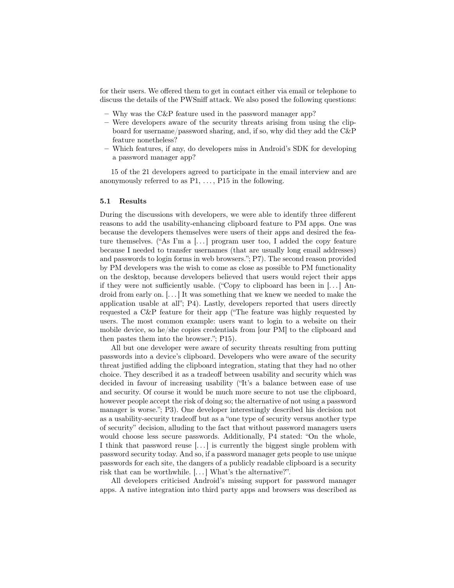for their users. We offered them to get in contact either via email or telephone to discuss the details of the PWSniff attack. We also posed the following questions:

- Why was the C&P feature used in the password manager app?
- Were developers aware of the security threats arising from using the clipboard for username/password sharing, and, if so, why did they add the C&P feature nonetheless?
- Which features, if any, do developers miss in Android's SDK for developing a password manager app?

15 of the 21 developers agreed to participate in the email interview and are anonymously referred to as  $P1, \ldots, P15$  in the following.

#### 5.1 Results

During the discussions with developers, we were able to identify three different reasons to add the usability-enhancing clipboard feature to PM apps. One was because the developers themselves were users of their apps and desired the feature themselves. ("As I'm a  $\left[\ldots\right]$  program user too, I added the copy feature because I needed to transfer usernames (that are usually long email addresses) and passwords to login forms in web browsers."; P7). The second reason provided by PM developers was the wish to come as close as possible to PM functionality on the desktop, because developers believed that users would reject their apps if they were not sufficiently usable. ("Copy to clipboard has been in  $[...]$  Android from early on. [...] It was something that we knew we needed to make the application usable at all"; P4). Lastly, developers reported that users directly requested a C&P feature for their app ("The feature was highly requested by users. The most common example: users want to login to a website on their mobile device, so he/she copies credentials from [our PM] to the clipboard and then pastes them into the browser."; P15).

All but one developer were aware of security threats resulting from putting passwords into a device's clipboard. Developers who were aware of the security threat justified adding the clipboard integration, stating that they had no other choice. They described it as a tradeoff between usability and security which was decided in favour of increasing usability ("It's a balance between ease of use and security. Of course it would be much more secure to not use the clipboard, however people accept the risk of doing so; the alternative of not using a password manager is worse."; P3). One developer interestingly described his decision not as a usability-security tradeoff but as a "one type of security versus another type of security" decision, alluding to the fact that without password managers users would choose less secure passwords. Additionally, P4 stated: "On the whole, I think that password reuse [. . . ] is currently the biggest single problem with password security today. And so, if a password manager gets people to use unique passwords for each site, the dangers of a publicly readable clipboard is a security risk that can be worthwhile. [. . . ] What's the alternative?".

All developers criticised Android's missing support for password manager apps. A native integration into third party apps and browsers was described as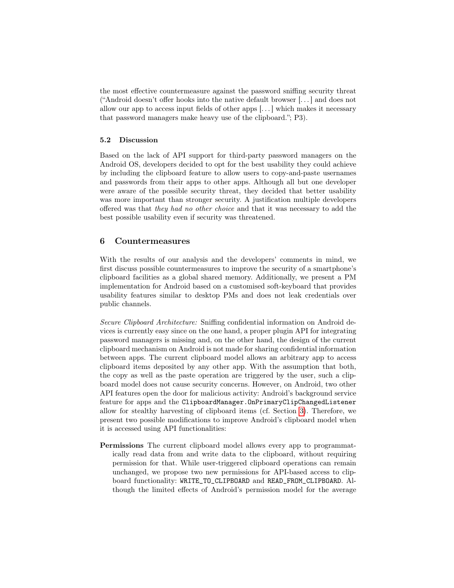the most effective countermeasure against the password sniffing security threat ("Android doesn't offer hooks into the native default browser [. . . ] and does not allow our app to access input fields of other apps [. . . ] which makes it necessary that password managers make heavy use of the clipboard."; P3).

#### 5.2 Discussion

Based on the lack of API support for third-party password managers on the Android OS, developers decided to opt for the best usability they could achieve by including the clipboard feature to allow users to copy-and-paste usernames and passwords from their apps to other apps. Although all but one developer were aware of the possible security threat, they decided that better usability was more important than stronger security. A justification multiple developers offered was that they had no other choice and that it was necessary to add the best possible usability even if security was threatened.

## <span id="page-11-0"></span>6 Countermeasures

With the results of our analysis and the developers' comments in mind, we first discuss possible countermeasures to improve the security of a smartphone's clipboard facilities as a global shared memory. Additionally, we present a PM implementation for Android based on a customised soft-keyboard that provides usability features similar to desktop PMs and does not leak credentials over public channels.

Secure Clipboard Architecture: Sniffing confidential information on Android devices is currently easy since on the one hand, a proper plugin API for integrating password managers is missing and, on the other hand, the design of the current clipboard mechanism on Android is not made for sharing confidential information between apps. The current clipboard model allows an arbitrary app to access clipboard items deposited by any other app. With the assumption that both, the copy as well as the paste operation are triggered by the user, such a clipboard model does not cause security concerns. However, on Android, two other API features open the door for malicious activity: Android's background service feature for apps and the ClipboardManager.OnPrimaryClipChangedListener allow for stealthy harvesting of clipboard items (cf. Section [3\)](#page-4-0). Therefore, we present two possible modifications to improve Android's clipboard model when it is accessed using API functionalities:

Permissions The current clipboard model allows every app to programmatically read data from and write data to the clipboard, without requiring permission for that. While user-triggered clipboard operations can remain unchanged, we propose two new permissions for API-based access to clipboard functionality: WRITE\_TO\_CLIPBOARD and READ\_FROM\_CLIPBOARD. Although the limited effects of Android's permission model for the average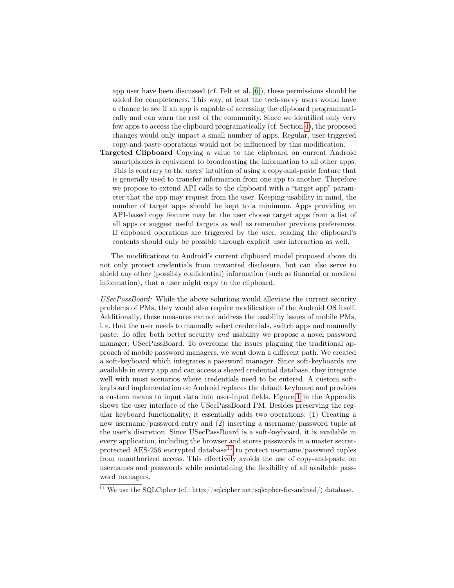app user have been discussed (cf. Felt et al. [\[6\]](#page-15-11)), these permissions should be added for completeness. This way, at least the tech-savvy users would have a chance to see if an app is capable of accessing the clipboard programmatically and can warn the rest of the community. Since we identified only very few apps to access the clipboard programatically (cf. Section [4\)](#page-7-0), the proposed changes would only impact a small number of apps. Regular, user-triggered copy-and-paste operations would not be influenced by this modification.

Targeted Clipboard Copying a value to the clipboard on current Android smartphones is equivalent to broadcasting the information to all other apps. This is contrary to the users' intuition of using a copy-and-paste feature that is generally used to transfer information from one app to another. Therefore we propose to extend API calls to the clipboard with a "target app" parameter that the app may request from the user. Keeping usability in mind, the number of target apps should be kept to a minimum. Apps providing an API-based copy feature may let the user choose target apps from a list of all apps or suggest useful targets as well as remember previous preferences. If clipboard operations are triggered by the user, reading the clipboard's contents should only be possible through explicit user interaction as well.

The modifications to Android's current clipboard model proposed above do not only protect credentials from unwanted disclosure, but can also serve to shield any other (possibly confidential) information (such as financial or medical information), that a user might copy to the clipboard.

USecPassBoard: While the above solutions would alleviate the current security problems of PMs, they would also require modification of the Android OS itself. Additionally, these measures cannot address the usability issues of mobile PMs, i. e. that the user needs to manually select credentials, switch apps and manually paste. To offer both better security and usability we propose a novel password manager: USecPassBoard. To overcome the issues plaguing the traditional approach of mobile password managers, we went down a different path. We created a soft-keyboard which integrates a password manager. Since soft-keyboards are available in every app and can access a shared credential database, they integrate well with most scenarios where credentials need to be entered. A custom softkeyboard implementation on Android replaces the default keyboard and provides a custom means to input data into user-input fields. Figure [1](#page-17-0) in the Appendix shows the user interface of the USecPassBoard PM. Besides preserving the regular keyboard functionality, it essentially adds two operations: (1) Creating a new username/password entry and (2) inserting a username/password tuple at the user's discretion. Since USecPassBoard is a soft-keyboard, it is available in every application, including the browser and stores passwords in a master secret-protected AES-256 encrypted database<sup>[11](#page-0-0)</sup> to protect username/password tuples from unauthorized access. This effectively avoids the use of copy-and-paste on usernames and passwords while maintaining the flexibility of all available password managers.

<sup>&</sup>lt;sup>11</sup> We use the SQLCipher (cf.: http://sqlcipher.net/sqlcipher-for-android/) database.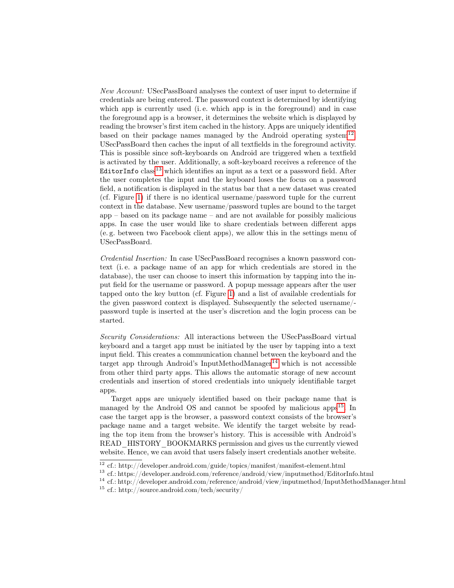New Account: USecPassBoard analyses the context of user input to determine if credentials are being entered. The password context is determined by identifying which app is currently used (i.e. which app is in the foreground) and in case the foreground app is a browser, it determines the website which is displayed by reading the browser's first item cached in the history. Apps are uniquely identified based on their package names managed by the Android operating system<sup>[12](#page-0-0)</sup>. USecPassBoard then caches the input of all textfields in the foreground activity. This is possible since soft-keyboards on Android are triggered when a textfield is activated by the user. Additionally, a soft-keyboard receives a reference of the EditorInfo class<sup>[13](#page-0-0)</sup> which identifies an input as a text or a password field. After the user completes the input and the keyboard loses the focus on a password field, a notification is displayed in the status bar that a new dataset was created (cf. Figure [1\)](#page-17-0) if there is no identical username/password tuple for the current context in the database. New username/password tuples are bound to the target app – based on its package name – and are not available for possibly malicious apps. In case the user would like to share credentials between different apps (e. g. between two Facebook client apps), we allow this in the settings menu of USecPassBoard.

Credential Insertion: In case USecPassBoard recognises a known password context (i. e. a package name of an app for which credentials are stored in the database), the user can choose to insert this information by tapping into the input field for the username or password. A popup message appears after the user tapped onto the key button (cf. Figure [1\)](#page-17-0) and a list of available credentials for the given password context is displayed. Subsequently the selected username/ password tuple is inserted at the user's discretion and the login process can be started.

Security Considerations: All interactions between the USecPassBoard virtual keyboard and a target app must be initiated by the user by tapping into a text input field. This creates a communication channel between the keyboard and the target app through Android's InputMethodManager<sup>[14](#page-0-0)</sup> which is not accessible from other third party apps. This allows the automatic storage of new account credentials and insertion of stored credentials into uniquely identifiable target apps.

Target apps are uniquely identified based on their package name that is managed by the Android OS and cannot be spoofed by malicious apps<sup>[15](#page-0-0)</sup>. In case the target app is the browser, a password context consists of the browser's package name and a target website. We identify the target website by reading the top item from the browser's history. This is accessible with Android's READ HISTORY BOOKMARKS permission and gives us the currently viewed website. Hence, we can avoid that users falsely insert credentials another website.

 $\frac{12}{12}$  cf.: http://developer.android.com/guide/topics/manifest/manifest-element.html

<sup>13</sup> cf.: https://developer.android.com/reference/android/view/inputmethod/EditorInfo.html

<sup>14</sup> cf.: http://developer.android.com/reference/android/view/inputmethod/InputMethodManager.html

<sup>15</sup> cf.: http://source.android.com/tech/security/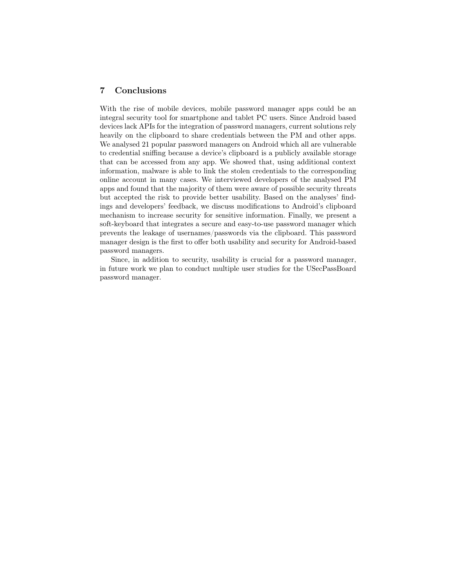## <span id="page-14-0"></span>7 Conclusions

With the rise of mobile devices, mobile password manager apps could be an integral security tool for smartphone and tablet PC users. Since Android based devices lack APIs for the integration of password managers, current solutions rely heavily on the clipboard to share credentials between the PM and other apps. We analysed 21 popular password managers on Android which all are vulnerable to credential sniffing because a device's clipboard is a publicly available storage that can be accessed from any app. We showed that, using additional context information, malware is able to link the stolen credentials to the corresponding online account in many cases. We interviewed developers of the analysed PM apps and found that the majority of them were aware of possible security threats but accepted the risk to provide better usability. Based on the analyses' findings and developers' feedback, we discuss modifications to Android's clipboard mechanism to increase security for sensitive information. Finally, we present a soft-keyboard that integrates a secure and easy-to-use password manager which prevents the leakage of usernames/passwords via the clipboard. This password manager design is the first to offer both usability and security for Android-based password managers.

Since, in addition to security, usability is crucial for a password manager, in future work we plan to conduct multiple user studies for the USecPassBoard password manager.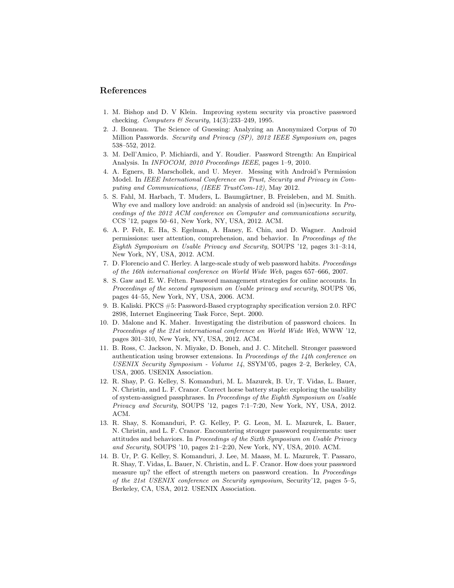## References

- <span id="page-15-0"></span>1. M. Bishop and D. V Klein. Improving system security via proactive password checking. Computers & Security,  $14(3):233-249$ , 1995.
- <span id="page-15-1"></span>2. J. Bonneau. The Science of Guessing: Analyzing an Anonymized Corpus of 70 Million Passwords. Security and Privacy (SP), 2012 IEEE Symposium on, pages 538–552, 2012.
- <span id="page-15-2"></span>3. M. Dell'Amico, P. Michiardi, and Y. Roudier. Password Strength: An Empirical Analysis. In INFOCOM, 2010 Proceedings IEEE, pages 1–9, 2010.
- <span id="page-15-12"></span>4. A. Egners, B. Marschollek, and U. Meyer. Messing with Android's Permission Model. In IEEE International Conference on Trust, Security and Privacy in Computing and Communications, (IEEE TrustCom-12), May 2012.
- <span id="page-15-10"></span>5. S. Fahl, M. Harbach, T. Muders, L. Baumgärtner, B. Freisleben, and M. Smith. Why eve and mallory love android: an analysis of android ssl (in)security. In Proceedings of the 2012 ACM conference on Computer and communications security, CCS '12, pages 50–61, New York, NY, USA, 2012. ACM.
- <span id="page-15-11"></span>6. A. P. Felt, E. Ha, S. Egelman, A. Haney, E. Chin, and D. Wagner. Android permissions: user attention, comprehension, and behavior. In Proceedings of the Eighth Symposium on Usable Privacy and Security, SOUPS '12, pages 3:1–3:14, New York, NY, USA, 2012. ACM.
- <span id="page-15-3"></span>7. D. Florencio and C. Herley. A large-scale study of web password habits. Proceedings of the 16th international conference on World Wide Web, pages 657–666, 2007.
- <span id="page-15-5"></span>8. S. Gaw and E. W. Felten. Password management strategies for online accounts. In Proceedings of the second symposium on Usable privacy and security, SOUPS '06, pages 44–55, New York, NY, USA, 2006. ACM.
- <span id="page-15-13"></span>9. B. Kaliski. PKCS #5: Password-Based cryptography specification version 2.0. RFC 2898, Internet Engineering Task Force, Sept. 2000.
- <span id="page-15-4"></span>10. D. Malone and K. Maher. Investigating the distribution of password choices. In Proceedings of the 21st international conference on World Wide Web, WWW '12, pages 301–310, New York, NY, USA, 2012. ACM.
- <span id="page-15-9"></span>11. B. Ross, C. Jackson, N. Miyake, D. Boneh, and J. C. Mitchell. Stronger password authentication using browser extensions. In Proceedings of the 14th conference on USENIX Security Symposium - Volume 14, SSYM'05, pages 2–2, Berkeley, CA, USA, 2005. USENIX Association.
- <span id="page-15-7"></span>12. R. Shay, P. G. Kelley, S. Komanduri, M. L. Mazurek, B. Ur, T. Vidas, L. Bauer, N. Christin, and L. F. Cranor. Correct horse battery staple: exploring the usability of system-assigned passphrases. In Proceedings of the Eighth Symposium on Usable Privacy and Security, SOUPS '12, pages 7:1–7:20, New York, NY, USA, 2012. ACM.
- <span id="page-15-6"></span>13. R. Shay, S. Komanduri, P. G. Kelley, P. G. Leon, M. L. Mazurek, L. Bauer, N. Christin, and L. F. Cranor. Encountering stronger password requirements: user attitudes and behaviors. In Proceedings of the Sixth Symposium on Usable Privacy and Security, SOUPS '10, pages 2:1–2:20, New York, NY, USA, 2010. ACM.
- <span id="page-15-8"></span>14. B. Ur, P. G. Kelley, S. Komanduri, J. Lee, M. Maass, M. L. Mazurek, T. Passaro, R. Shay, T. Vidas, L. Bauer, N. Christin, and L. F. Cranor. How does your password measure up? the effect of strength meters on password creation. In Proceedings of the 21st USENIX conference on Security symposium, Security'12, pages 5–5, Berkeley, CA, USA, 2012. USENIX Association.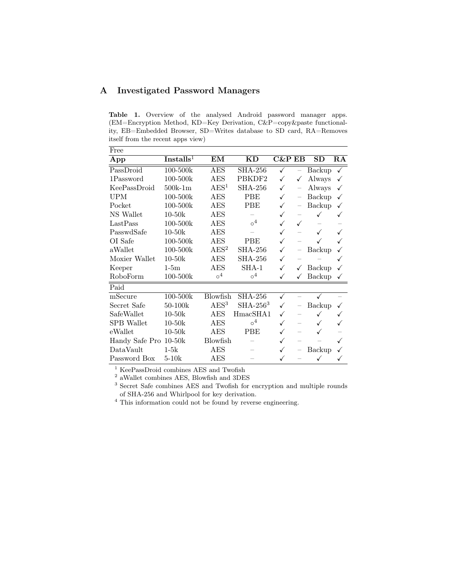# A Investigated Password Managers

<span id="page-16-0"></span>Table 1. Overview of the analysed Android password manager apps. (EM=Encryption Method, KD=Key Derivation, C&P=copy&paste functionality, EB=Embedded Browser, SD=Writes database to SD card, RA=Removes itself from the recent apps view)

| Free                  |                                |                  |                |                   |              |           |              |
|-----------------------|--------------------------------|------------------|----------------|-------------------|--------------|-----------|--------------|
| App                   | $Inst\overline{\text{alls}^1}$ | EM               | KD             | <b>C&amp;P EB</b> |              | <b>SD</b> | RA           |
| PassDroid             | 100-500k                       | <b>AES</b>       | <b>SHA-256</b> | ✓                 |              | Backup    | $\checkmark$ |
| 1Password             | 100-500k                       | <b>AES</b>       | PBKDF2         | ✓                 | $\checkmark$ | Always    | $\checkmark$ |
| KeePassDroid          | $500k-1m$                      | AES <sup>1</sup> | <b>SHA-256</b> | ✓                 |              | Always    | ✓            |
| UPM                   | $100 - 500k$                   | AES              | PBE            | ✓                 |              | Backup    | √            |
| Pocket                | 100-500k                       | AES              | <b>PBE</b>     |                   |              | Backup    | ✓            |
| NS Wallet             | $10-50k$                       | AES              |                |                   |              | ✓         |              |
| LastPass              | $100 - 500k$                   | AES              | $\circ^4$      | ✓                 | $\checkmark$ |           |              |
| PasswdSafe            | $10-50k$                       | AES              |                | ✓                 |              |           |              |
| OI Safe               | $100 - 500k$                   | AES              | <b>PBE</b>     | ✓                 |              |           |              |
| aWallet               | $100 - 500k$                   | AES <sup>2</sup> | $SHA-256$      | ✓                 |              | Backup    |              |
| Moxier Wallet         | $10-50k$                       | AES              | <b>SHA-256</b> | ✓                 |              |           |              |
| Keeper                | $1-5m$                         | AES              | SHA-1          |                   | ✓            | Backup    |              |
| RoboForm              | $100 - 500k$                   | $\circ^4$        | $\circ^4$      | ✓                 | $\checkmark$ | Backup    | ✓            |
| Paid                  |                                |                  |                |                   |              |           |              |
| mSecure               | 100-500k                       | Blowfish         | <b>SHA-256</b> | ✓                 |              |           |              |
| Secret Safe           | $50-100k$                      | AES <sup>3</sup> | $SHA-2563$     | ✓                 |              | Backup    | ✓            |
| SafeWallet            | $10-50k$                       | AES              | HmacSHA1       | ✓                 |              |           |              |
| SPB Wallet            | $10-50k$                       | <b>AES</b>       | $\circ^4$      | ✓                 |              |           |              |
| eWallet               | $10-50k$                       | AES              | <b>PBE</b>     | ✓                 |              |           |              |
| Handy Safe Pro 10-50k |                                | Blowfish         |                | ✓                 |              |           |              |
| DataVault             | $1-5k$                         | AES              |                |                   |              | Backup    | ✓            |
| Password Box          | $5-10k$                        | AES              |                |                   |              | ✓         | ✓            |

 $^{\rm 1}$  KeePassDroid combines AES and Twofish

2 aWallet combines AES, Blowfish and 3DES

<sup>3</sup> Secret Safe combines AES and Twofish for encryption and multiple rounds of SHA-256 and Whirlpool for key derivation.

<sup>4</sup> This information could not be found by reverse engineering.